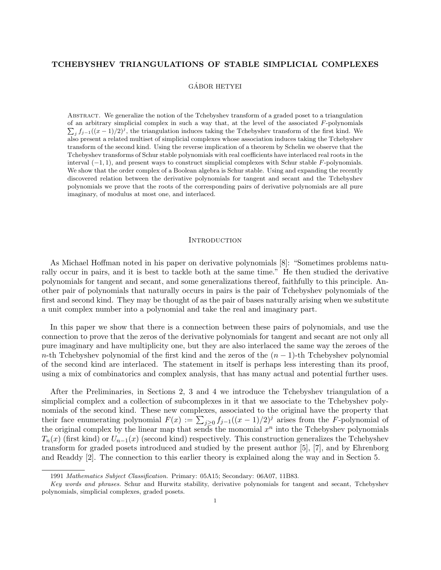## TCHEBYSHEV TRIANGULATIONS OF STABLE SIMPLICIAL COMPLEXES

## GÁBOR HETYEI

Abstract. We generalize the notion of the Tchebyshev transform of a graded poset to a triangulation of an arbitrary simplicial complex in such a way that, at the level of the associated  $F$ -polynomials  $\sum_j f_{j-1}((x-1)/2)^j$ , the triangulation induces taking the Tchebyshev transform of the first kind. We also present a related multiset of simplicial complexes whose association induces taking the Tchebyshev transform of the second kind. Using the reverse implication of a theorem by Schelin we observe that the Tchebyshev transforms of Schur stable polynomials with real coefficients have interlaced real roots in the interval (−1, 1), and present ways to construct simplicial complexes with Schur stable F-polynomials. We show that the order complex of a Boolean algebra is Schur stable. Using and expanding the recently discovered relation between the derivative polynomials for tangent and secant and the Tchebyshev polynomials we prove that the roots of the corresponding pairs of derivative polynomials are all pure imaginary, of modulus at most one, and interlaced.

#### **INTRODUCTION**

As Michael Hoffman noted in his paper on derivative polynomials [8]: "Sometimes problems naturally occur in pairs, and it is best to tackle both at the same time." He then studied the derivative polynomials for tangent and secant, and some generalizations thereof, faithfully to this principle. Another pair of polynomials that naturally occurs in pairs is the pair of Tchebyshev polynomials of the first and second kind. They may be thought of as the pair of bases naturally arising when we substitute a unit complex number into a polynomial and take the real and imaginary part.

In this paper we show that there is a connection between these pairs of polynomials, and use the connection to prove that the zeros of the derivative polynomials for tangent and secant are not only all pure imaginary and have multiplicity one, but they are also interlaced the same way the zeroes of the n-th Tchebyshev polynomial of the first kind and the zeros of the  $(n - 1)$ -th Tchebyshev polynomial of the second kind are interlaced. The statement in itself is perhaps less interesting than its proof, using a mix of combinatorics and complex analysis, that has many actual and potential further uses.

After the Preliminaries, in Sections 2, 3 and 4 we introduce the Tchebyshev triangulation of a simplicial complex and a collection of subcomplexes in it that we associate to the Tchebyshev polynomials of the second kind. These new complexes, associated to the original have the property that their face enumerating polynomial  $F(x) := \sum_{j\geq 0} f_{j-1}((x-1)/2)^j$  arises from the F-polynomial of the original complex by the linear map that sends the monomial  $x^n$  into the Tchebyshev polynomials  $T_n(x)$  (first kind) or  $U_{n-1}(x)$  (second kind) respectively. This construction generalizes the Tchebyshev transform for graded posets introduced and studied by the present author [5], [7], and by Ehrenborg and Readdy [2]. The connection to this earlier theory is explained along the way and in Section 5.

<sup>1991</sup> Mathematics Subject Classification. Primary: 05A15; Secondary: 06A07, 11B83.

Key words and phrases. Schur and Hurwitz stability, derivative polynomials for tangent and secant, Tchebyshev polynomials, simplicial complexes, graded posets.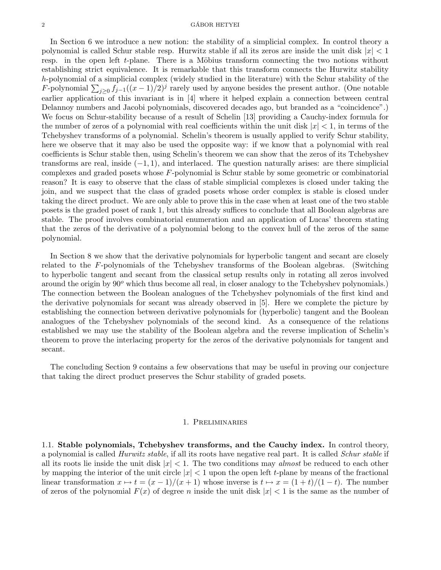#### $\alpha$  GÁBOR HETYEI

In Section 6 we introduce a new notion: the stability of a simplicial complex. In control theory a polynomial is called Schur stable resp. Hurwitz stable if all its zeros are inside the unit disk  $|x| < 1$ resp. in the open left  $t$ -plane. There is a Möbius transform connecting the two notions without establishing strict equivalence. It is remarkable that this transform connects the Hurwitz stability h-polynomial of a simplicial complex (widely studied in the literature) with the Schur stability of the F-polynomial  $\sum_{j\geq 0} f_{j-1}((x-1)/2)^j$  rarely used by anyone besides the present author. (One notable earlier application of this invariant is in [4] where it helped explain a connection between central Delannoy numbers and Jacobi polynomials, discovered decades ago, but branded as a "coincidence".) We focus on Schur-stability because of a result of Schelin [13] providing a Cauchy-index formula for the number of zeros of a polynomial with real coefficients within the unit disk  $|x| < 1$ , in terms of the Tchebyshev transforms of a polynomial. Schelin's theorem is usually applied to verify Schur stability, here we observe that it may also be used the opposite way: if we know that a polynomial with real coefficients is Schur stable then, using Schelin's theorem we can show that the zeros of its Tchebyshev transforms are real, inside  $(-1, 1)$ , and interlaced. The question naturally arises: are there simplicial complexes and graded posets whose F-polynomial is Schur stable by some geometric or combinatorial reason? It is easy to observe that the class of stable simplicial complexes is closed under taking the join, and we suspect that the class of graded posets whose order complex is stable is closed under taking the direct product. We are only able to prove this in the case when at least one of the two stable posets is the graded poset of rank 1, but this already suffices to conclude that all Boolean algebras are stable. The proof involves combinatorial enumeration and an application of Lucas' theorem stating that the zeros of the derivative of a polynomial belong to the convex hull of the zeros of the same polynomial.

In Section 8 we show that the derivative polynomials for hyperbolic tangent and secant are closely related to the F-polynomials of the Tchebyshev transforms of the Boolean algebras. (Switching to hyperbolic tangent and secant from the classical setup results only in rotating all zeros involved around the origin by  $90^{\circ}$  which thus become all real, in closer analogy to the Tchebyshev polynomials.) The connection between the Boolean analogues of the Tchebyshev polynomials of the first kind and the derivative polynomials for secant was already observed in [5]. Here we complete the picture by establishing the connection between derivative polynomials for (hyperbolic) tangent and the Boolean analogues of the Tchebyshev polynomials of the second kind. As a consequence of the relations established we may use the stability of the Boolean algebra and the reverse implication of Schelin's theorem to prove the interlacing property for the zeros of the derivative polynomials for tangent and secant.

The concluding Section 9 contains a few observations that may be useful in proving our conjecture that taking the direct product preserves the Schur stability of graded posets.

#### 1. Preliminaries

1.1. Stable polynomials, Tchebyshev transforms, and the Cauchy index. In control theory, a polynomial is called Hurwitz stable, if all its roots have negative real part. It is called Schur stable if all its roots lie inside the unit disk  $|x| < 1$ . The two conditions may almost be reduced to each other by mapping the interior of the unit circle  $|x| < 1$  upon the open left t-plane by means of the fractional linear transformation  $x \mapsto t = (x - 1)/(x + 1)$  whose inverse is  $t \mapsto x = (1 + t)/(1 - t)$ . The number of zeros of the polynomial  $F(x)$  of degree n inside the unit disk  $|x| < 1$  is the same as the number of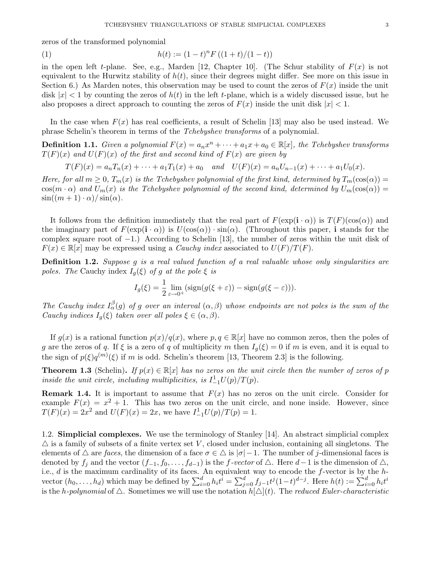zeros of the transformed polynomial

(1) 
$$
h(t) := (1-t)^n F((1+t)/(1-t))
$$

in the open left t-plane. See, e.g., Marden [12, Chapter 10]. (The Schur stability of  $F(x)$  is not equivalent to the Hurwitz stability of  $h(t)$ , since their degrees might differ. See more on this issue in Section 6.) As Marden notes, this observation may be used to count the zeros of  $F(x)$  inside the unit disk  $|x| < 1$  by counting the zeros of  $h(t)$  in the left t-plane, which is a widely discussed issue, but he also proposes a direct approach to counting the zeros of  $F(x)$  inside the unit disk  $|x| < 1$ .

In the case when  $F(x)$  has real coefficients, a result of Schelin [13] may also be used instead. We phrase Schelin's theorem in terms of the Tchebyshev transforms of a polynomial.

**Definition 1.1.** Given a polynomial  $F(x) = a_n x^n + \cdots + a_1 x + a_0 \in \mathbb{R}[x]$ , the Tchebyshev transforms  $T(F)(x)$  and  $U(F)(x)$  of the first and second kind of  $F(x)$  are given by

$$
T(F)(x) = a_n T_n(x) + \dots + a_1 T_1(x) + a_0 \quad and \quad U(F)(x) = a_n U_{n-1}(x) + \dots + a_1 U_0(x).
$$

Here, for all  $m \geq 0$ ,  $T_m(x)$  is the Tchebyshev polynomial of the first kind, determined by  $T_m(\cos(\alpha)) =$  $\cos(m \cdot \alpha)$  and  $U_m(x)$  is the Tchebyshev polynomial of the second kind, determined by  $U_m(\cos(\alpha)) =$  $\sin((m+1)\cdot\alpha)/\sin(\alpha)$ .

It follows from the definition immediately that the real part of  $F(\exp(i \cdot \alpha))$  is  $T(F)(\cos(\alpha))$  and the imaginary part of  $F(\exp(i \cdot \alpha))$  is  $U(\cos(\alpha)) \cdot \sin(\alpha)$ . (Throughout this paper, i stands for the complex square root of  $-1$ .) According to Schelin [13], the number of zeros within the unit disk of  $F(x) \in \mathbb{R}[x]$  may be expressed using a *Cauchy index* associated to  $U(F)/T(F)$ .

**Definition 1.2.** Suppose q is a real valued function of a real valuable whose only singularities are poles. The Cauchy index  $I_g(\xi)$  of g at the pole  $\xi$  is

$$
I_g(\xi) = \frac{1}{2} \lim_{\varepsilon \to 0^+} (\text{sign}(g(\xi + \varepsilon)) - \text{sign}(g(\xi - \varepsilon))).
$$

The Cauchy index  $I_{\alpha}^{\beta}(g)$  of g over an interval  $(\alpha, \beta)$  whose endpoints are not poles is the sum of the Cauchy indices  $I_g(\xi)$  taken over all poles  $\xi \in (\alpha, \beta)$ .

If  $g(x)$  is a rational function  $p(x)/q(x)$ , where  $p, q \in \mathbb{R}[x]$  have no common zeros, then the poles of g are the zeros of q. If  $\xi$  is a zero of q of multiplicity m then  $I_g(\xi) = 0$  if m is even, and it is equal to the sign of  $p(\xi)q^{(m)}(\xi)$  if m is odd. Schelin's theorem [13, Theorem 2.3] is the following.

**Theorem 1.3** (Schelin). If  $p(x) \in \mathbb{R}[x]$  has no zeros on the unit circle then the number of zeros of p inside the unit circle, including multiplicities, is  $I^1_{-1}U(p)/T(p)$ .

**Remark 1.4.** It is important to assume that  $F(x)$  has no zeros on the unit circle. Consider for example  $F(x) = x^2 + 1$ . This has two zeros on the unit circle, and none inside. However, since  $T(F)(x) = 2x^2$  and  $U(F)(x) = 2x$ , we have  $I_{-1}^1 U(p)/T(p) = 1$ .

1.2. Simplicial complexes. We use the terminology of Stanley [14]. An abstract simplicial complex  $\triangle$  is a family of subsets of a finite vertex set V, closed under inclusion, containing all singletons. The elements of  $\triangle$  are faces, the dimension of a face  $\sigma \in \triangle$  is  $|\sigma|-1$ . The number of j-dimensional faces is denoted by  $f_j$  and the vector  $(f_{-1}, f_0, \ldots, f_{d-1})$  is the f-vector of  $\triangle$ . Here  $d-1$  is the dimension of  $\triangle$ , i.e.,  $d$  is the maximum cardinality of its faces. An equivalent way to encode the  $f$ -vector is by the  $h$ vector  $(h_0, \ldots, h_d)$  which may be defined by  $\sum_{i=0}^d h_i t^i = \sum_{j=0}^d f_{j-1} t^j (1-t)^{d-j}$ . Here  $h(t) := \sum_{i=0}^d h_i t^i$ is the h-polynomial of  $\triangle$ . Sometimes we will use the notation  $h[\triangle](t)$ . The reduced Euler-characteristic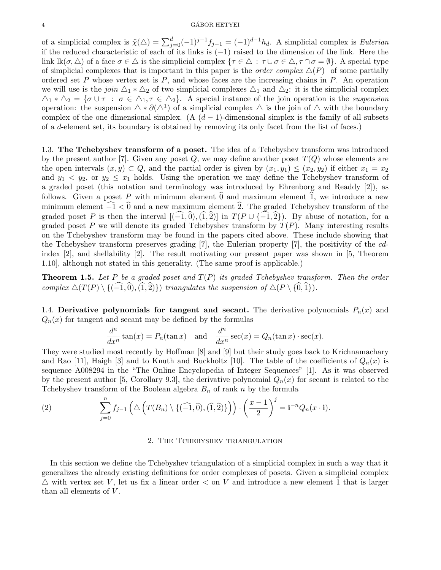of a simplicial complex is  $\tilde{\chi}(\triangle) = \sum_{j=0}^{d} (-1)^{j-1} f_{j-1} = (-1)^{d-1} h_d$ . A simplicial complex is Eulerian if the reduced characteristic of each of its links is (−1) raised to the dimension of the link. Here the link  $\operatorname{lk}(\sigma,\Delta)$  of a face  $\sigma \in \Delta$  is the simplicial complex  $\{\tau \in \Delta : \tau \cup \sigma \in \Delta, \tau \cap \sigma = \emptyset\}$ . A special type of simplicial complexes that is important in this paper is the *order complex*  $\Delta(P)$  of some partially ordered set  $P$  whose vertex set is  $P$ , and whose faces are the increasing chains in  $P$ . An operation we will use is the join  $\Delta_1 * \Delta_2$  of two simplicial complexes  $\Delta_1$  and  $\Delta_2$ : it is the simplicial complex  $\Delta_1 * \Delta_2 = \{\sigma \cup \tau : \sigma \in \Delta_1, \tau \in \Delta_2\}.$  A special instance of the join operation is the suspension operation: the suspension  $\Delta * \partial(\Delta^1)$  of a simplicial complex  $\Delta$  is the join of  $\Delta$  with the boundary complex of the one dimensional simplex. (A  $(d-1)$ -dimensional simplex is the family of all subsets of a d-element set, its boundary is obtained by removing its only facet from the list of faces.)

1.3. The Tchebyshev transform of a poset. The idea of a Tchebyshev transform was introduced by the present author [7]. Given any poset Q, we may define another poset  $T(Q)$  whose elements are the open intervals  $(x, y) \subset Q$ , and the partial order is given by  $(x_1, y_1) \leq (x_2, y_2)$  if either  $x_1 = x_2$ and  $y_1 \le y_2$ , or  $y_2 \le x_1$  holds. Using the operation we may define the Tchebyshev transform of a graded poset (this notation and terminology was introduced by Ehrenborg and Readdy [2]), as follows. Given a poset P with minimum element  $\hat{0}$  and maximum element  $\hat{1}$ , we introduce a new minimum element  $\widehat{-1} < 0$  and a new maximum element  $\widehat{2}$ . The graded Tchebyshev transform of the graded poset P is then the interval  $[(-1,0), (1,2)]$  in  $T(P \cup \{-1,2\})$ . By abuse of notation, for a graded poset P we will denote its graded Tchebyshev transform by  $T(P)$ . Many interesting results on the Tchebyshev transform may be found in the papers cited above. These include showing that the Tchebyshev transform preserves grading [7], the Eulerian property [7], the positivity of the cdindex [2], and shellability [2]. The result motivating our present paper was shown in [5, Theorem 1.10], although not stated in this generality. (The same proof is applicable.)

**Theorem 1.5.** Let P be a graded poset and  $T(P)$  its graded Tchebyshev transform. Then the order complex  $\triangle(T(P) \setminus \{(\widehat{-1},\widehat{0}),(\widehat{1},\widehat{2})\}\)$  triangulates the suspension of  $\triangle(P \setminus \{\widehat{0},\widehat{1}\}).$ 

1.4. Derivative polynomials for tangent and secant. The derivative polynomials  $P_n(x)$  and  $Q_n(x)$  for tangent and secant may be defined by the formulas

$$
\frac{d^n}{dx^n} \tan(x) = P_n(\tan x) \text{ and } \frac{d^n}{dx^n} \sec(x) = Q_n(\tan x) \cdot \sec(x).
$$

They were studied most recently by Hoffman [8] and [9] but their study goes back to Krichnamachary and Rao [11], Haigh [3] and to Knuth and Buckholtz [10]. The table of the coefficients of  $Q_n(x)$  is sequence A008294 in the "The Online Encyclopedia of Integer Sequences" [1]. As it was observed by the present author [5, Corollary 9.3], the derivative polynomial  $Q_n(x)$  for secant is related to the Tchebyshev transform of the Boolean algebra  $B_n$  of rank n by the formula

(2) 
$$
\sum_{j=0}^{n} f_{j-1}\left(\Delta\left(T(B_n)\setminus\{(\widehat{-1},\widehat{0}),(\widehat{1},\widehat{2})\}\right)\right)\cdot \left(\frac{x-1}{2}\right)^{j} = \mathbf{i}^{-n}Q_n(x\cdot\mathbf{i}).
$$

#### 2. The Tchebyshev triangulation

In this section we define the Tchebyshev triangulation of a simplicial complex in such a way that it generalizes the already existing definitions for order complexes of posets. Given a simplicial complex  $\triangle$  with vertex set V, let us fix a linear order  $\lt$  on V and introduce a new element  $\hat{1}$  that is larger than all elements of  $V$ .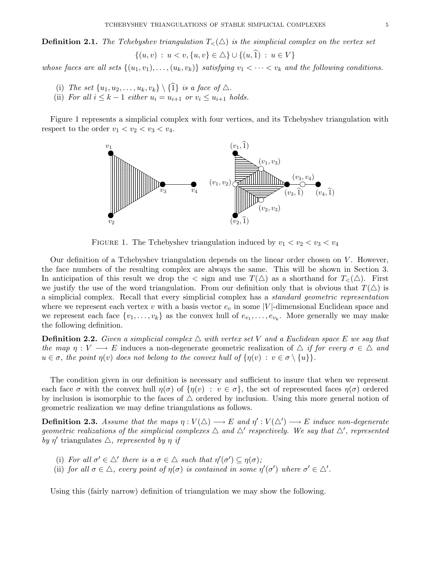**Definition 2.1.** The Tchebyshev triangulation  $T<(\triangle)$  is the simplicial complex on the vertex set  $\{(u, v) : u < v, \{u, v\} \in \triangle\} \cup \{(u, \hat{1}) : u \in V\}$ 

whose faces are all sets  $\{(u_1, v_1), \ldots, (u_k, v_k)\}\$  satisfying  $v_1 < \cdots < v_k$  and the following conditions.

- (i) The set  $\{u_1, u_2, \ldots, u_k, v_k\} \setminus \{\hat{1}\}$  is a face of  $\triangle$ .
- (ii) For all  $i \leq k-1$  either  $u_i = u_{i+1}$  or  $v_i \leq u_{i+1}$  holds.

Figure 1 represents a simplicial complex with four vertices, and its Tchebyshev triangulation with respect to the order  $v_1 < v_2 < v_3 < v_4$ .



FIGURE 1. The Tchebyshev triangulation induced by  $v_1 < v_2 < v_3 < v_4$ 

Our definition of a Tchebyshev triangulation depends on the linear order chosen on  $V$ . However, the face numbers of the resulting complex are always the same. This will be shown in Section 3. In anticipation of this result we drop the  $\langle \sin \theta \rangle$  as a shorthand for  $T_{\langle \rangle}(\triangle)$ . First we justify the use of the word triangulation. From our definition only that is obvious that  $T(\Delta)$  is a simplicial complex. Recall that every simplicial complex has a standard geometric representation where we represent each vertex v with a basis vector  $e_v$  in some |V|-dimensional Euclidean space and we represent each face  $\{v_1, \ldots, v_k\}$  as the convex hull of  $e_{v_1}, \ldots, e_{v_k}$ . More generally we may make the following definition.

**Definition 2.2.** Given a simplicial complex  $\triangle$  with vertex set V and a Euclidean space E we say that the map  $\eta: V \longrightarrow E$  induces a non-degenerate geometric realization of  $\Delta$  if for every  $\sigma \in \Delta$  and  $u \in \sigma$ , the point  $\eta(v)$  does not belong to the convex hull of  $\{\eta(v) : v \in \sigma \setminus \{u\}\}.$ 

The condition given in our definition is necessary and sufficient to insure that when we represent each face  $\sigma$  with the convex hull  $\eta(\sigma)$  of  $\{\eta(v) : v \in \sigma\}$ , the set of represented faces  $\eta(\sigma)$  ordered by inclusion is isomorphic to the faces of  $\triangle$  ordered by inclusion. Using this more general notion of geometric realization we may define triangulations as follows.

**Definition 2.3.** Assume that the maps  $\eta: V(\triangle) \longrightarrow E$  and  $\eta': V(\triangle') \longrightarrow E$  induce non-degenerate geometric realizations of the simplicial complexes  $\Delta$  and  $\Delta'$  respectively. We say that  $\Delta'$ , represented by  $\eta'$  triangulates  $\triangle$ , represented by  $\eta$  if

- (i) For all  $\sigma' \in \triangle'$  there is a  $\sigma \in \triangle$  such that  $\eta'(\sigma') \subseteq \eta(\sigma)$ ;
- (ii) for all  $\sigma \in \Delta$ , every point of  $\eta(\sigma)$  is contained in some  $\eta'(\sigma')$  where  $\sigma' \in \Delta'$ .

Using this (fairly narrow) definition of triangulation we may show the following.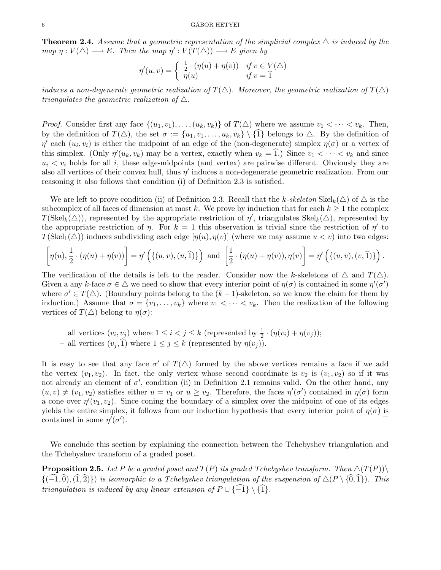**Theorem 2.4.** Assume that a geometric representation of the simplicial complex  $\triangle$  is induced by the map  $\eta: V(\Delta) \longrightarrow E$ . Then the map  $\eta': V(T(\Delta)) \longrightarrow E$  given by

$$
\eta'(u,v) = \begin{cases} \frac{1}{2} \cdot (\eta(u) + \eta(v)) & \text{if } v \in V(\triangle) \\ \eta(u) & \text{if } v = \hat{1} \end{cases}
$$

induces a non-degenerate geometric realization of  $T(\Delta)$ . Moreover, the geometric realization of  $T(\Delta)$ triangulates the geometric realization of  $\triangle$ .

*Proof.* Consider first any face  $\{(u_1, v_1), \ldots, (u_k, v_k)\}\$  of  $T(\triangle)$  where we assume  $v_1 < \cdots < v_k$ . Then, by the definition of  $T(\Delta)$ , the set  $\sigma := \{u_1, v_1, \ldots, u_k, v_k\} \setminus \{1\}$  belongs to  $\Delta$ . By the definition of  $\eta'$  each  $(u_i, v_i)$  is either the midpoint of an edge of the (non-degenerate) simplex  $\eta(\sigma)$  or a vertex of this simplex. (Only  $\eta'(u_k, v_k)$  may be a vertex, exactly when  $v_k = \hat{1}$ .) Since  $v_1 < \cdots < v_k$  and since  $u_i < v_i$  holds for all i, these edge-midpoints (and vertex) are pairwise different. Obviously they are also all vertices of their convex hull, thus  $\eta'$  induces a non-degenerate geometric realization. From our reasoning it also follows that condition (i) of Definition 2.3 is satisfied.

We are left to prove condition (ii) of Definition 2.3. Recall that the k-skeleton  $\text{Skel}_k(\Delta)$  of  $\Delta$  is the subcomplex of all faces of dimension at most k. We prove by induction that for each  $k \geq 1$  the complex  $T(\text{Skel}_k(\Delta))$ , represented by the appropriate restriction of  $\eta'$ , triangulates  $\text{Skel}_k(\Delta)$ , represented by the appropriate restriction of  $\eta$ . For  $k = 1$  this observation is trivial since the restriction of  $\eta'$  to  $T(\text{Skel}_1(\Delta))$  induces subdividing each edge  $[\eta(u), \eta(v)]$  (where we may assume  $u < v$ ) into two edges:

$$
\left[\eta(u),\frac{1}{2}\cdot(\eta(u)+\eta(v))\right]=\eta'\left(\{(u,v),(u,\widehat{1})\}\right)\text{ and }\left[\frac{1}{2}\cdot(\eta(u)+\eta(v)),\eta(v)\right]=\eta'\left(\{(u,v),(v,\widehat{1})\}\right).
$$

The verification of the details is left to the reader. Consider now the k-skeletons of  $\triangle$  and  $T(\triangle)$ . Given a any k-face  $\sigma \in \Delta$  we need to show that every interior point of  $\eta(\sigma)$  is contained in some  $\eta'(\sigma')$ where  $\sigma' \in T(\triangle)$ . (Boundary points belong to the  $(k-1)$ -skeleton, so we know the claim for them by induction.) Assume that  $\sigma = \{v_1, \ldots, v_k\}$  where  $v_1 < \cdots < v_k$ . Then the realization of the following vertices of  $T(\triangle)$  belong to  $\eta(\sigma)$ :

- all vertices  $(v_i, v_j)$  where  $1 \leq i < j \leq k$  (represented by  $\frac{1}{2} \cdot (\eta(v_i) + \eta(v_j));$
- all vertices  $(v_i, \hat{1})$  where  $1 \leq j \leq k$  (represented by  $\eta(v_i)$ ).

It is easy to see that any face  $\sigma'$  of  $T(\triangle)$  formed by the above vertices remains a face if we add the vertex  $(v_1, v_2)$ . In fact, the only vertex whose second coordinate is  $v_2$  is  $(v_1, v_2)$  so if it was not already an element of  $\sigma'$ , condition (ii) in Definition 2.1 remains valid. On the other hand, any  $(u, v) \neq (v_1, v_2)$  satisfies either  $u = v_1$  or  $u \ge v_2$ . Therefore, the faces  $\eta'(\sigma')$  contained in  $\eta(\sigma)$  form a cone over  $\eta'(v_1, v_2)$ . Since coning the boundary of a simplex over the midpoint of one of its edges yields the entire simplex, it follows from our induction hypothesis that every interior point of  $\eta(\sigma)$  is contained in some  $\eta'(\sigma')$ ).

We conclude this section by explaining the connection between the Tchebyshev triangulation and the Tchebyshev transform of a graded poset.

**Proposition 2.5.** Let P be a graded poset and  $T(P)$  its graded Tchebyshev transform. Then  $\Delta(T(P))\setminus$  ${(-1,0),(1,2)}$  is isomorphic to a Tchebyshev triangulation of the suspension of  $\Delta(P \setminus \{0,1\})$ . This triangulation is induced by any linear extension of  $P \cup \{\widehat{-1}\}\setminus\{\widehat{1}\}.$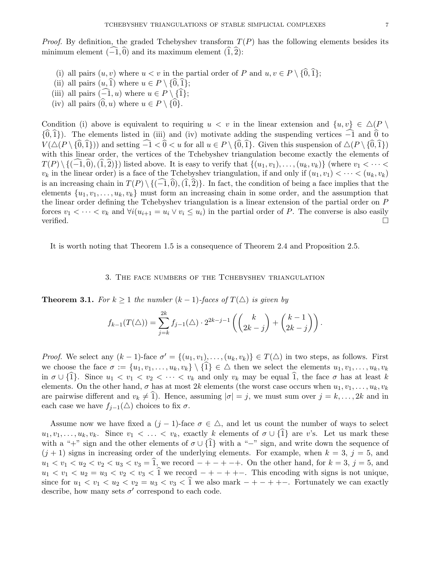- (i) all pairs  $(u, v)$  where  $u < v$  in the partial order of P and  $u, v \in P \setminus \{0, 1\};$
- (ii) all pairs  $(u, \hat{1})$  where  $u \in P \setminus {\hat{0}, \hat{1}};$
- (iii) all pairs  $(-1, u)$  where  $u \in P \setminus \{\hat{1}\};$
- (iv) all pairs  $(0, u)$  where  $u \in P \setminus \{0\}.$

Condition (i) above is equivalent to requiring  $u < v$  in the linear extension and  $\{u, v\} \in \Delta(P \setminus$  ${\{\hat{0},\hat{1}\}}$ . The elements listed in (iii) and (iv) motivate adding the suspending vertices  $\widehat{-1}$  and  $\widehat{0}$  to  $V(\Delta(P \setminus {\{0,1\}}))$  and setting  $\widehat{-1} < \widehat{0} < u$  for all  $u \in P \setminus {\{0,1\}}$ . Given this suspension of  $\Delta(P \setminus {\{0,1\}})$ with this linear order, the vertices of the Tchebyshev triangulation become exactly the elements of  $T(P) \setminus \{(\widehat{-1},\widehat{0}),(\widehat{1},\widehat{2})\}\$  listed above. It is easy to verify that  $\{(u_1,v_1), \ldots, (u_k,v_k)\}\$  (where  $v_1 < \cdots < v_k$ )  $v_k$  in the linear order) is a face of the Tchebyshev triangulation, if and only if  $(u_1, v_1) < \cdots < (u_k, v_k)$ is an increasing chain in  $T(P) \setminus \{(-1,0), (1,2)\}\.$  In fact, the condition of being a face implies that the elements  $\{u_1, v_1, \ldots, u_k, v_k\}$  must form an increasing chain in some order, and the assumption that the linear order defining the Tchebyshev triangulation is a linear extension of the partial order on P forces  $v_1 < \cdots < v_k$  and  $\forall i (u_{i+1} = u_i \vee v_i \leq u_i)$  in the partial order of P. The converse is also easily verified.  $\Box$ 

It is worth noting that Theorem 1.5 is a consequence of Theorem 2.4 and Proposition 2.5.

## 3. The face numbers of the Tchebyshev triangulation

**Theorem 3.1.** For  $k \geq 1$  the number  $(k-1)$ -faces of  $T(\triangle)$  is given by

$$
f_{k-1}(T(\triangle)) = \sum_{j=k}^{2k} f_{j-1}(\triangle) \cdot 2^{2k-j-1} \left( \binom{k}{2k-j} + \binom{k-1}{2k-j} \right).
$$

*Proof.* We select any  $(k-1)$ -face  $\sigma' = \{(u_1, v_1), \ldots, (u_k, v_k)\} \in T(\Delta)$  in two steps, as follows. First we choose the face  $\sigma := \{u_1, v_1, \ldots, u_k, v_k\} \setminus \{\hat{1}\} \in \Delta$  then we select the elements  $u_1, v_1, \ldots, u_k, v_k$ in  $\sigma \cup \{1\}$ . Since  $u_1 < v_1 < v_2 < \cdots < v_k$  and only  $v_k$  may be equal 1, the face  $\sigma$  has at least k elements. On the other hand,  $\sigma$  has at most 2k elements (the worst case occurs when  $u_1, v_1, \ldots, u_k, v_k$ are pairwise different and  $v_k \neq 1$ ). Hence, assuming  $|\sigma| = j$ , we must sum over  $j = k, \ldots, 2k$  and in each case we have  $f_{j-1}(\triangle)$  choices to fix  $\sigma$ .

Assume now we have fixed a  $(j-1)$ -face  $\sigma \in \Delta$ , and let us count the number of ways to select  $u_1, v_1, \ldots, u_k, v_k$ . Since  $v_1 < \ldots < v_k$ , exactly k elements of  $\sigma \cup \{1\}$  are v's. Let us mark these with a "+" sign and the other elements of  $\sigma \cup {\hat{1}}$  with a "−" sign, and write down the sequence of  $(j + 1)$  signs in increasing order of the underlying elements. For example, when  $k = 3$ ,  $j = 5$ , and  $u_1 < v_1 < u_2 < v_2 < u_3 < v_3 = \hat{1}$ , we record  $- + - + - +$ . On the other hand, for  $k = 3$ ,  $j = 5$ , and  $u_1 < v_1 < u_2 = u_3 < v_2 < v_3 < \hat{1}$  we record  $- + - + + -$ . This encoding with signs is not unique, since for  $u_1 < u_1 < u_2 < u_2 = u_3 < u_3 < 1$  we also mark  $- + - + + -$ . Fortunately we can exactly describe, how many sets  $\sigma'$  correspond to each code.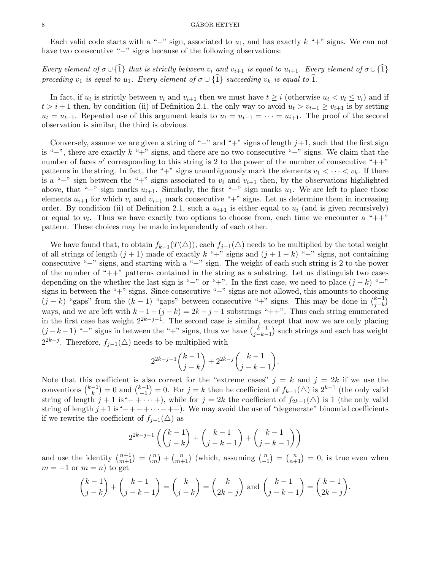#### $\begin{array}{c}\n 8 \\
\hline\n \end{array}$

Each valid code starts with a "−" sign, associated to  $u_1$ , and has exactly  $k$  "+" signs. We can not have two consecutive "−" signs because of the following observations:

Every element of  $\sigma \cup \{\hat{1}\}\$  that is strictly between  $v_i$  and  $v_{i+1}$  is equal to  $u_{i+1}$ . Every element of  $\sigma \cup \{\hat{1}\}\$ preceding  $v_1$  is equal to  $u_1$ . Every element of  $\sigma \cup \{\hat{1}\}\$  succeeding  $v_k$  is equal to  $\hat{1}$ .

In fact, if  $u_t$  is strictly between  $v_i$  and  $v_{i+1}$  then we must have  $t \geq i$  (otherwise  $u_t < v_t \leq v_i$ ) and if  $t > i + 1$  then, by condition (ii) of Definition 2.1, the only way to avoid  $u_t > v_{t-1} \ge v_{i+1}$  is by setting  $u_t = u_{t-1}$ . Repeated use of this argument leads to  $u_t = u_{t-1} = \cdots = u_{i+1}$ . The proof of the second observation is similar, the third is obvious.

Conversely, assume we are given a string of "−" and "+" signs of length  $j+1$ , such that the first sign is "−", there are exactly k "+" signs, and there are no two consecutive "−" signs. We claim that the number of faces  $\sigma'$  corresponding to this string is 2 to the power of the number of consecutive "++" patterns in the string. In fact, the "+" signs unambiguously mark the elements  $v_1 < \cdots < v_k$ . If there is a "−" sign between the "+" signs associated to  $v_i$  and  $v_{i+1}$  then, by the observations highlighted above, that "−" sign marks  $u_{i+1}$ . Similarly, the first "−" sign marks  $u_1$ . We are left to place those elements  $u_{i+1}$  for which  $v_i$  and  $v_{i+1}$  mark consecutive "+" signs. Let us determine them in increasing order. By condition (ii) of Definition 2.1, such a  $u_{i+1}$  is either equal to  $u_i$  (and is given recursively) or equal to  $v_i$ . Thus we have exactly two options to choose from, each time we encounter a " $++$ " pattern. These choices may be made independently of each other.

We have found that, to obtain  $f_{k-1}(T(\Delta))$ , each  $f_{j-1}(\Delta)$  needs to be multiplied by the total weight of all strings of length  $(j + 1)$  made of exactly k "+" signs and  $(j + 1 - k)$  "−" signs, not containing consecutive "−" signs, and starting with a "−" sign. The weight of each such string is 2 to the power of the number of "++" patterns contained in the string as a substring. Let us distinguish two cases depending on the whether the last sign is "−" or "+". In the first case, we need to place  $(j - k)$  "−" signs in between the "+" signs. Since consecutive "−" signs are not allowed, this amounts to choosing  $(j - k)$  "gaps" from the  $(k - 1)$  "gaps" between consecutive "+" signs. This may be done in  $\binom{k-1}{i-k}$  $_{j-k}^{k-1})$ ways, and we are left with  $k - 1 - (j - k) = 2k - j - 1$  substrings "++". Thus each string enumerated in the first case has weight  $2^{2k-j-1}$ . The second case is similar, except that now we are only placing  $(j - k - 1)$  "-" signs in between the "+" signs, thus we have  $\binom{k-1}{i-k}$  $\binom{k-1}{j-k-1}$  such strings and each has weight  $2^{2k-j}$ . Therefore,  $f_{j-1}(\triangle)$  needs to be multiplied with

$$
2^{2k-j-1}\binom{k-1}{j-k} + 2^{2k-j}\binom{k-1}{j-k-1}.
$$

Note that this coefficient is also correct for the "extreme cases"  $j = k$  and  $j = 2k$  if we use the conventions  $\binom{k-1}{k}$  $\binom{-1}{k} = 0$  and  $\binom{k-1}{-1}$  $\binom{k-1}{-1} = 0$ . For  $j = k$  then he coefficient of  $f_{k-1}(\triangle)$  is  $2^{k-1}$  (the only valid string of length  $j + 1$  is" $- + \cdots$ , while for  $j = 2k$  the coefficient of  $f_{2k-1}(\triangle)$  is 1 (the only valid string of length  $j+1$  is" $-+$ - $+\cdots$ - $+$ ). We may avoid the use of "degenerate" binomial coefficients if we rewrite the coefficient of  $f_{j-1}(\triangle)$  as

$$
2^{2k-j-1}\left(\binom{k-1}{j-k}+\binom{k-1}{j-k-1}+\binom{k-1}{j-k-1}\right)
$$

and use the identity  $\binom{n+1}{m+1} = \binom{n}{m}$  $\binom{n}{m+1}$  (which, assuming  $\binom{n}{-1}$  $\binom{n}{n-1} = \binom{n}{n+1} = 0$ , is true even when  $m = -1$  or  $m = n$ ) to get

$$
\binom{k-1}{j-k} + \binom{k-1}{j-k-1} = \binom{k}{j-k} = \binom{k}{2k-j}
$$
 and 
$$
\binom{k-1}{j-k-1} = \binom{k-1}{2k-j}.
$$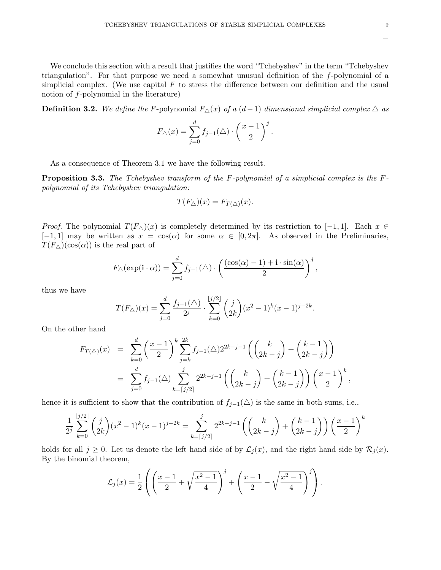$\Box$ 

We conclude this section with a result that justifies the word "Tchebyshev" in the term "Tchebyshev triangulation". For that purpose we need a somewhat unusual definition of the f-polynomial of a simplicial complex. (We use capital  $F$  to stress the difference between our definition and the usual notion of f-polynomial in the literature)

**Definition 3.2.** We define the F-polynomial  $F_∆(x)$  of a  $(d-1)$  dimensional simplicial complex  $\triangle$  as

$$
F_{\triangle}(x) = \sum_{j=0}^{d} f_{j-1}(\triangle) \cdot \left(\frac{x-1}{2}\right)^j.
$$

As a consequence of Theorem 3.1 we have the following result.

**Proposition 3.3.** The Tchebyshev transform of the F-polynomial of a simplicial complex is the  $F$ polynomial of its Tchebyshev triangulation:

$$
T(F_{\triangle})(x) = F_{T(\triangle)}(x).
$$

*Proof.* The polynomial  $T(F_{\Delta})(x)$  is completely determined by its restriction to [-1, 1]. Each  $x \in$  $[-1, 1]$  may be written as  $x = \cos(\alpha)$  for some  $\alpha \in [0, 2\pi]$ . As observed in the Preliminaries,  $T(F_{\Delta})(\cos(\alpha))$  is the real part of

$$
F_{\triangle}(\exp(\mathbf{i} \cdot \alpha)) = \sum_{j=0}^{d} f_{j-1}(\triangle) \cdot \left(\frac{(\cos(\alpha)-1)+\mathbf{i} \cdot \sin(\alpha)}{2}\right)^{j},
$$

thus we have

$$
T(F_{\triangle})(x) = \sum_{j=0}^{d} \frac{f_{j-1}(\triangle)}{2^j} \cdot \sum_{k=0}^{\lfloor j/2 \rfloor} {j \choose 2k} (x^2 - 1)^k (x - 1)^{j-2k}.
$$

On the other hand

$$
F_{T(\triangle)}(x) = \sum_{k=0}^{d} \left(\frac{x-1}{2}\right)^k \sum_{j=k}^{2k} f_{j-1}(\triangle) 2^{2k-j-1} \left( \binom{k}{2k-j} + \binom{k-1}{2k-j} \right)
$$
  
= 
$$
\sum_{j=0}^{d} f_{j-1}(\triangle) \sum_{k=\lceil j/2 \rceil}^{j} 2^{2k-j-1} \left( \binom{k}{2k-j} + \binom{k-1}{2k-j} \right) \left( \frac{x-1}{2} \right)^k,
$$

hence it is sufficient to show that the contribution of  $f_{j-1}(\triangle)$  is the same in both sums, i.e.,

$$
\frac{1}{2^j} \sum_{k=0}^{\lfloor j/2 \rfloor} \binom{j}{2k} (x^2 - 1)^k (x - 1)^{j-2k} = \sum_{k=\lfloor j/2 \rfloor}^{j} 2^{2k-j-1} \left( \binom{k}{2k-j} + \binom{k-1}{2k-j} \right) \left( \frac{x-1}{2} \right)^k
$$

holds for all  $j \geq 0$ . Let us denote the left hand side of by  $\mathcal{L}_j(x)$ , and the right hand side by  $\mathcal{R}_j(x)$ . By the binomial theorem,

$$
\mathcal{L}_j(x) = \frac{1}{2} \left( \left( \frac{x-1}{2} + \sqrt{\frac{x^2-1}{4}} \right)^j + \left( \frac{x-1}{2} - \sqrt{\frac{x^2-1}{4}} \right)^j \right).
$$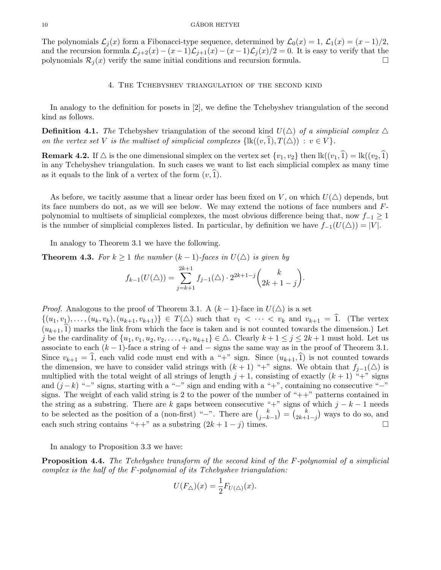The polynomials  $\mathcal{L}_j(x)$  form a Fibonacci-type sequence, determined by  $\mathcal{L}_0(x) = 1$ ,  $\mathcal{L}_1(x) = (x-1)/2$ , and the recursion formula  $\mathcal{L}_{j+2}(x) - (x-1)\mathcal{L}_{j+1}(x) - (x-1)\mathcal{L}_j(x)/2 = 0$ . It is easy to verify that the polynomials  $\mathcal{R}_j(x)$  verify the same initial conditions and recursion formula.

# 4. The Tchebyshev triangulation of the second kind

In analogy to the definition for posets in [2], we define the Tchebyshev triangulation of the second kind as follows.

**Definition 4.1.** The Tchebyshev triangulation of the second kind  $U(\triangle)$  of a simplicial complex  $\triangle$ on the vertex set V is the multiset of simplicial complexes  $\{lk((v,\hat{1}), T(\triangle)) : v \in V \}$ .

**Remark 4.2.** If  $\triangle$  is the one dimensional simplex on the vertex set  $\{v_1, v_2\}$  then  $\text{lk}((v_1, \hat{1}) = \text{lk}((v_2, \hat{1}))$ in any Tchebyshev triangulation. In such cases we want to list each simplicial complex as many time as it equals to the link of a vertex of the form  $(v,1)$ .

As before, we tacitly assume that a linear order has been fixed on V, on which  $U(\Delta)$  depends, but its face numbers do not, as we will see below. We may extend the notions of face numbers and Fpolynomial to multisets of simplicial complexes, the most obvious difference being that, now  $f_{-1} \geq 1$ is the number of simplicial complexes listed. In particular, by definition we have  $f_{-1}(U(\triangle)) = |V|$ .

In analogy to Theorem 3.1 we have the following.

**Theorem 4.3.** For  $k \geq 1$  the number  $(k-1)$ -faces in  $U(\Delta)$  is given by

$$
f_{k-1}(U(\triangle)) = \sum_{j=k+1}^{2k+1} f_{j-1}(\triangle) \cdot 2^{2k+1-j} {k \choose 2k+1-j}.
$$

*Proof.* Analogous to the proof of Theorem 3.1. A  $(k-1)$ -face in  $U(\triangle)$  is a set

 $\{(u_1, v_1), \ldots, (u_k, v_k), (u_{k+1}, v_{k+1})\} \in T(\triangle)$  such that  $v_1 < \cdots < v_k$  and  $v_{k+1} = \hat{1}$ . (The vertex  $(u_{k+1},\hat{1})$  marks the link from which the face is taken and is not counted towards the dimension.) Let j be the cardinality of  $\{u_1, v_1, u_2, v_2, \ldots, v_k, u_{k+1}\} \in \triangle$ . Clearly  $k+1 \leq j \leq 2k+1$  must hold. Let us associate to each  $(k-1)$ -face a string of + and  $-$  signs the same way as in the proof of Theorem 3.1. Since  $v_{k+1} = \hat{1}$ , each valid code must end with a "+" sign. Since  $(u_{k+1},\hat{1})$  is not counted towards the dimension, we have to consider valid strings with  $(k + 1)$  "+" signs. We obtain that  $f_{j-1}(\triangle)$  is multiplied with the total weight of all strings of length  $j + 1$ , consisting of exactly  $(k + 1)$  "+" signs and  $(j-k)$  "−" signs, starting with a "−" sign and ending with a "+", containing no consecutive "−" signs. The weight of each valid string is 2 to the power of the number of "++" patterns contained in the string as a substring. There are k gaps between consecutive "+" signs of which  $j - k - 1$  needs to be selected as the position of a (non-first) "−". There are  $\binom{k}{i-k}$  $\binom{k}{j-k-1} = \binom{k}{2k+1}$  $\binom{k}{2k+1-j}$  ways to do so, and each such string contains "++" as a substring  $(2k + 1 - j)$  times.

In analogy to Proposition 3.3 we have:

Proposition 4.4. The Tchebyshev transform of the second kind of the F-polynomial of a simplicial complex is the half of the F-polynomial of its Tchebyshev triangulation:

$$
U(F_{\triangle})(x) = \frac{1}{2}F_{U(\triangle)}(x).
$$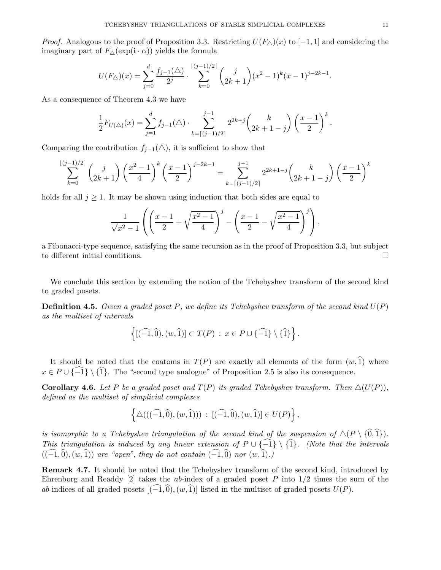*Proof.* Analogous to the proof of Proposition 3.3. Restricting  $U(F_{\Delta})(x)$  to [−1, 1] and considering the imaginary part of  $F_{\Delta}(\exp(i \cdot \alpha))$  yields the formula

$$
U(F_{\triangle})(x) = \sum_{j=0}^{d} \frac{f_{j-1}(\triangle)}{2^j} \cdot \sum_{k=0}^{\lfloor (j-1)/2 \rfloor} {j \choose 2k+1} (x^2 - 1)^k (x - 1)^{j-2k-1}.
$$

As a consequence of Theorem 4.3 we have

$$
\frac{1}{2}F_{U(\triangle)}(x) = \sum_{j=1}^d f_{j-1}(\triangle) \cdot \sum_{k=\lceil (j-1)/2 \rceil}^{j-1} 2^{2k-j} {k \choose 2k+1-j} \left(\frac{x-1}{2}\right)^k.
$$

Comparing the contribution  $f_{j-1}(\triangle)$ , it is sufficient to show that

$$
\sum_{k=0}^{\lfloor (j-1)/2 \rfloor} \binom{j}{2k+1} \left(\frac{x^2-1}{4}\right)^k \left(\frac{x-1}{2}\right)^{j-2k-1} = \sum_{k=\lceil (j-1)/2 \rceil}^{j-1} 2^{2k+1-j} \binom{k}{2k+1-j} \left(\frac{x-1}{2}\right)^k
$$

holds for all  $j \geq 1$ . It may be shown using induction that both sides are equal to

$$
\frac{1}{\sqrt{x^2 - 1}} \left( \left( \frac{x - 1}{2} + \sqrt{\frac{x^2 - 1}{4}} \right)^j - \left( \frac{x - 1}{2} - \sqrt{\frac{x^2 - 1}{4}} \right)^j \right),
$$

a Fibonacci-type sequence, satisfying the same recursion as in the proof of Proposition 3.3, but subject to different initial conditions.

We conclude this section by extending the notion of the Tchebyshev transform of the second kind to graded posets.

**Definition 4.5.** Given a graded poset P, we define its Tchebyshev transform of the second kind  $U(P)$ as the multiset of intervals

$$
\left\{ [(\widehat{-1},\widehat{0}), (w,\widehat{1})] \subset T(P) \, : \, x \in P \cup \{\widehat{-1}\} \setminus \{\widehat{1}\} \right\}.
$$

It should be noted that the coatoms in  $T(P)$  are exactly all elements of the form  $(w,\hat{1})$  where  $x \in P \cup \{-1\} \setminus \{1\}.$  The "second type analogue" of Proposition 2.5 is also its consequence.

**Corollary 4.6.** Let P be a graded poset and  $T(P)$  its graded Tchebyshev transform. Then  $\Delta(U(P))$ , defined as the multiset of simplicial complexes

$$
\left\{ \Delta(((\widehat{-1},\widehat{0}), (w,\widehat{1}))) : [(\widehat{-1},\widehat{0}), (w,\widehat{1})] \in U(P) \right\},\
$$

is isomorphic to a Tchebyshev triangulation of the second kind of the suspension of  $\Delta(P \setminus {\widehat{0}, \widehat{1}})$ . This triangulation is induced by any linear extension of  $P \cup \{\widehat{-1}\}\setminus \{\widehat{1}\}.$  (Note that the intervals  $((\widehat{-1},\widehat{0}), (w,\widehat{1}))$  are "open", they do not contain  $(\widehat{-1},\widehat{0})$  nor  $(w,\widehat{1}).$ 

Remark 4.7. It should be noted that the Tchebyshev transform of the second kind, introduced by Ehrenborg and Readdy [2] takes the ab-index of a graded poset P into  $1/2$  times the sum of the ab-indices of all graded posets  $[(-1,0),(w,1)]$  listed in the multiset of graded posets  $U(P)$ .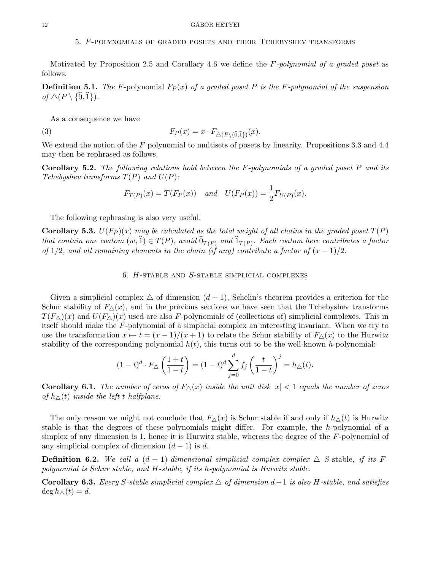# 5. F-polynomials of graded posets and their Tchebyshev transforms

Motivated by Proposition 2.5 and Corollary 4.6 we define the  $F$ -polynomial of a graded poset as follows.

**Definition 5.1.** The F-polynomial  $F_P(x)$  of a graded poset P is the F-polynomial of the suspension of  $\triangle (P \setminus \{ \widehat{0}, \widehat{1} \}).$ 

As a consequence we have 
$$
F_P(x) = x \cdot F_{\triangle (P \setminus \{\widehat{0},\widehat{1}\})}(x).
$$

We extend the notion of the  $F$  polynomial to multisets of posets by linearity. Propositions 3.3 and 4.4 may then be rephrased as follows.

**Corollary 5.2.** The following relations hold between the  $F$ -polynomials of a graded poset  $P$  and its Tchebyshev transforms  $T(P)$  and  $U(P)$ :

$$
F_{T(P)}(x) = T(F_P(x))
$$
 and  $U(F_P(x)) = \frac{1}{2}F_{U(P)}(x)$ .

The following rephrasing is also very useful.

**Corollary 5.3.**  $U(F_P)(x)$  may be calculated as the total weight of all chains in the graded poset  $T(P)$ that contain one coatom  $(w,1) \in T(P)$ , avoid  $0_{T(P)}$  and  $1_{T(P)}$ . Each coatom here contributes a factor of 1/2, and all remaining elements in the chain (if any) contribute a factor of  $(x - 1)/2$ .

#### 6.  $H$ -stable and  $S$ -stable simplicial complexes

Given a simplicial complex  $\triangle$  of dimension  $(d-1)$ , Schelin's theorem provides a criterion for the Schur stability of  $F_{\Delta}(x)$ , and in the previous sections we have seen that the Tchebyshev transforms  $T(F_{\Delta})(x)$  and  $U(F_{\Delta})(x)$  used are also F-polynomials of (collections of) simplicial complexes. This in itself should make the F-polynomial of a simplicial complex an interesting invariant. When we try to use the transformation  $x \mapsto t = (x - 1)/(x + 1)$  to relate the Schur stability of  $F_{\Delta}(x)$  to the Hurwitz stability of the corresponding polynomial  $h(t)$ , this turns out to be the well-known h-polynomial:

$$
(1-t)^d \cdot F_{\triangle} \left(\frac{1+t}{1-t}\right) = (1-t)^d \sum_{j=0}^d f_j \left(\frac{t}{1-t}\right)^j = h_{\triangle}(t).
$$

**Corollary 6.1.** The number of zeros of  $F_{\Delta}(x)$  inside the unit disk  $|x| < 1$  equals the number of zeros of  $h_{\Delta}(t)$  inside the left t-halfplane.

The only reason we might not conclude that  $F_{\Delta}(x)$  is Schur stable if and only if  $h_{\Delta}(t)$  is Hurwitz stable is that the degrees of these polynomials might differ. For example, the h-polynomial of a simplex of any dimension is 1, hence it is Hurwitz stable, whereas the degree of the F-polynomial of any simplicial complex of dimension  $(d-1)$  is d.

**Definition 6.2.** We call a  $(d-1)$ -dimensional simplicial complex complex  $\triangle$  S-stable, if its Fpolynomial is Schur stable, and H-stable, if its h-polynomial is Hurwitz stable.

**Corollary 6.3.** Every S-stable simplicial complex  $\triangle$  of dimension d–1 is also H-stable, and satisfies  $\deg h_{\wedge}(t) = d.$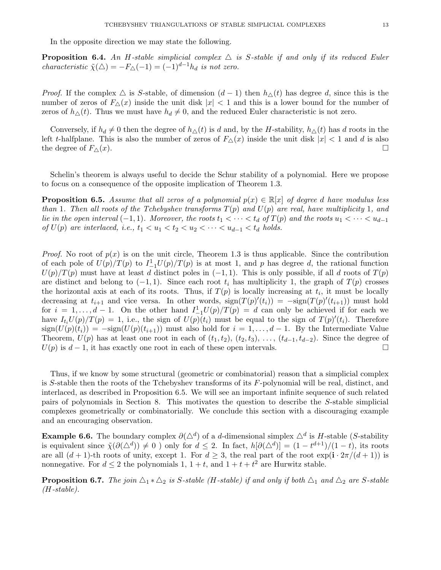In the opposite direction we may state the following.

**Proposition 6.4.** An H-stable simplicial complex  $\triangle$  is S-stable if and only if its reduced Euler characteristic  $\tilde{\chi}(\triangle) = -F_{\triangle}(-1) = (-1)^{d-1}h_d$  is not zero.

*Proof.* If the complex  $\triangle$  is S-stable, of dimension  $(d-1)$  then  $h_{\triangle}(t)$  has degree d, since this is the number of zeros of  $F_{\Delta}(x)$  inside the unit disk  $|x| < 1$  and this is a lower bound for the number of zeros of  $h_{\Delta}(t)$ . Thus we must have  $h_d \neq 0$ , and the reduced Euler characteristic is not zero.

Conversely, if  $h_d \neq 0$  then the degree of  $h_{\Delta}(t)$  is d and, by the H-stability,  $h_{\Delta}(t)$  has d roots in the left t-halfplane. This is also the number of zeros of  $F_{\Delta}(x)$  inside the unit disk  $|x| < 1$  and d is also the degree of  $F_{\Delta}(x)$ .

Schelin's theorem is always useful to decide the Schur stability of a polynomial. Here we propose to focus on a consequence of the opposite implication of Theorem 1.3.

**Proposition 6.5.** Assume that all zeros of a polynomial  $p(x) \in \mathbb{R}[x]$  of degree d have modulus less than 1. Then all roots of the Tchebyshev transforms  $T(p)$  and  $U(p)$  are real, have multiplicity 1, and lie in the open interval  $(-1, 1)$ . Moreover, the roots  $t_1 < \cdots < t_d$  of  $T(p)$  and the roots  $u_1 < \cdots < u_{d-1}$ of  $U(p)$  are interlaced, i.e.,  $t_1 < u_1 < t_2 < u_2 < \cdots < u_{d-1} < t_d$  holds.

*Proof.* No root of  $p(x)$  is on the unit circle, Theorem 1.3 is thus applicable. Since the contribution of each pole of  $U(p)/T(p)$  to  $I_{-1}^1U(p)/T(p)$  is at most 1, and p has degree d, the rational function  $U(p)/T(p)$  must have at least d distinct poles in  $(-1, 1)$ . This is only possible, if all d roots of  $T(p)$ are distinct and belong to  $(-1, 1)$ . Since each root  $t_i$  has multiplicity 1, the graph of  $T(p)$  crosses the horizontal axis at each of its roots. Thus, if  $T(p)$  is locally increasing at  $t_i$ , it must be locally decreasing at  $t_{i+1}$  and vice versa. In other words,  $sign(T(p)'(t_i)) = -sign(T(p)'(t_{i+1}))$  must hold for  $i = 1, ..., d - 1$ . On the other hand  $I_{-1}^1U(p)/T(p) = d$  can only be achieved if for each we have  $I_{t_i}U(p)/T(p) = 1$ , i.e., the sign of  $U(p)\overline{(t_i)}$  must be equal to the sign of  $T(p)'(t_i)$ . Therefore  $sign(U(p)(t_i)) = -sign(U(p)(t_{i+1}))$  must also hold for  $i = 1, ..., d-1$ . By the Intermediate Value Theorem,  $U(p)$  has at least one root in each of  $(t_1, t_2), (t_2, t_3), \ldots, (t_{d-1}, t_{d-2})$ . Since the degree of  $U(p)$  is  $d-1$ , it has exactly one root in each of these open intervals.

Thus, if we know by some structural (geometric or combinatorial) reason that a simplicial complex is S-stable then the roots of the Tchebyshev transforms of its F-polynomial will be real, distinct, and interlaced, as described in Proposition 6.5. We will see an important infinite sequence of such related pairs of polynomials in Section 8. This motivates the question to describe the S-stable simplicial complexes geometrically or combinatorially. We conclude this section with a discouraging example and an encouraging observation.

**Example 6.6.** The boundary complex  $\partial(\Delta^d)$  of a d-dimensional simplex  $\Delta^d$  is H-stable (S-stability is equivalent since  $\tilde{\chi}(\partial(\Delta^d)) \neq 0$  ) only for  $d \leq 2$ . In fact,  $h[\partial(\Delta^d)] = (1 - t^{d+1})/(1 - t)$ , its roots are all  $(d + 1)$ -th roots of unity, except 1. For  $d \geq 3$ , the real part of the root  $\exp(i \cdot 2\pi/(d+1))$  is nonnegative. For  $d \leq 2$  the polynomials 1,  $1 + t$ , and  $1 + t + t^2$  are Hurwitz stable.

**Proposition 6.7.** The join  $\Delta_1 * \Delta_2$  is S-stable (H-stable) if and only if both  $\Delta_1$  and  $\Delta_2$  are S-stable  $(H-stable).$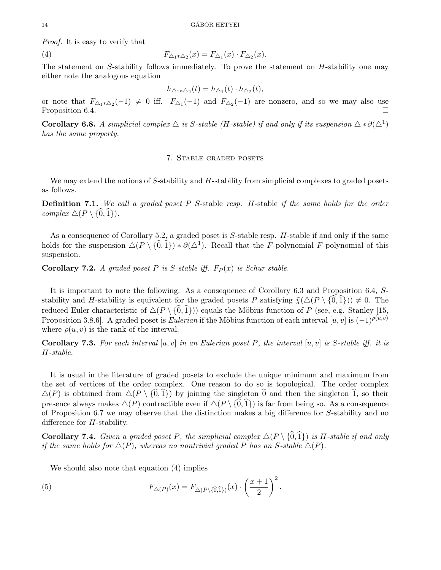Proof. It is easy to verify that

(4)  $F_{\Delta_1 * \Delta_2}(x) = F_{\Delta_1}(x) \cdot F_{\Delta_2}(x)$ .

The statement on S-stability follows immediately. To prove the statement on H-stability one may either note the analogous equation

$$
h_{\triangle_1 * \triangle_2}(t) = h_{\triangle_1}(t) \cdot h_{\triangle_2}(t),
$$

or note that  $F_{\Delta_1 * \Delta_2}(-1) \neq 0$  iff.  $F_{\Delta_1}(-1)$  and  $F_{\Delta_2}(-1)$  are nonzero, and so we may also use Proposition 6.4.

**Corollary 6.8.** A simplicial complex  $\triangle$  is S-stable (H-stable) if and only if its suspension  $\triangle * \partial(\triangle^1)$ has the same property.

## 7. Stable graded posets

We may extend the notions of S-stability and H-stability from simplicial complexes to graded posets as follows.

**Definition 7.1.** We call a graded poset  $P$  S-stable resp. H-stable if the same holds for the order complex  $\triangle (P \setminus \{\hat{0},\hat{1}\}).$ 

As a consequence of Corollary 5.2, a graded poset is S-stable resp. H-stable if and only if the same holds for the suspension  $\Delta(P \setminus \{0,1\}) * \partial(\Delta^1)$ . Recall that the F-polynomial F-polynomial of this suspension.

**Corollary 7.2.** A graded poset P is S-stable iff.  $F_P(x)$  is Schur stable.

It is important to note the following. As a consequence of Corollary 6.3 and Proposition 6.4, Sstability and H-stability is equivalent for the graded posets P satisfying  $\tilde{\chi}(\Delta(P \setminus \{0,1\})) \neq 0$ . The reduced Euler characteristic of  $\Delta(P \setminus {\{\hat{0}, \hat{1}\}})$ ) equals the Möbius function of P (see, e.g. Stanley [15, Proposition 3.8.6]. A graded poset is *Eulerian* if the Möbius function of each interval [u, v] is  $(-1)^{\rho(u,v)}$ where  $\rho(u, v)$  is the rank of the interval.

**Corollary 7.3.** For each interval  $[u, v]$  in an Eulerian poset P, the interval  $[u, v]$  is S-stable iff. it is H-stable.

It is usual in the literature of graded posets to exclude the unique minimum and maximum from the set of vertices of the order complex. One reason to do so is topological. The order complex  $\Delta(P)$  is obtained from  $\Delta(P \setminus \{0,1\})$  by joining the singleton  $\widehat{0}$  and then the singleton  $\widehat{1}$ , so their presence always makes  $\Delta(P)$  contractible even if  $\Delta(P \setminus {\widehat{0}, \widehat{1}})$  is far from being so. As a consequence of Proposition 6.7 we may observe that the distinction makes a big difference for S-stability and no difference for H-stability.

**Corollary 7.4.** Given a graded poset P, the simplicial complex  $\Delta(P \setminus {\widehat{0}, \widehat{1}})$  is H-stable if and only if the same holds for  $\Delta(P)$ , whereas no nontrivial graded P has an S-stable  $\Delta(P)$ .

We should also note that equation (4) implies  
(5) 
$$
F_{\triangle(P)}(x) = F_{\triangle(P\setminus\{\widehat{0},\widehat{1}\})}(x) \cdot \left(\frac{x+1}{2}\right)^2.
$$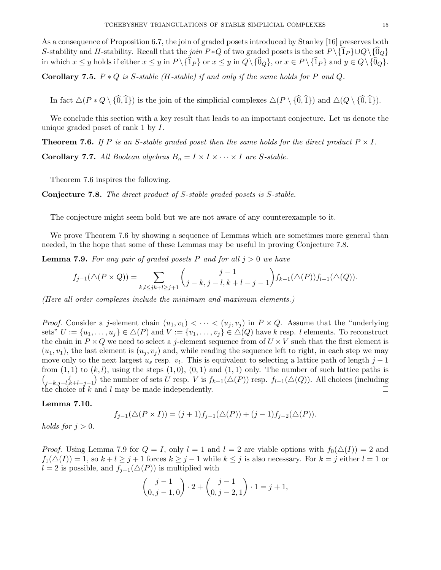Corollary 7.5.  $P * Q$  is S-stable (H-stable) if and only if the same holds for P and Q.

In fact  $\Delta(P * Q \setminus {\{\hat{0},\hat{1}\}})$  is the join of the simplicial complexes  $\Delta(P \setminus {\{\hat{0},\hat{1}\}})$  and  $\Delta(Q \setminus {\{\hat{0},\hat{1}\}})$ .

We conclude this section with a key result that leads to an important conjecture. Let us denote the unique graded poset of rank 1 by I.

**Theorem 7.6.** If P is an S-stable graded poset then the same holds for the direct product  $P \times I$ .

**Corollary 7.7.** All Boolean algebras  $B_n = I \times I \times \cdots \times I$  are S-stable.

Theorem 7.6 inspires the following.

Conjecture 7.8. The direct product of S-stable graded posets is S-stable.

The conjecture might seem bold but we are not aware of any counterexample to it.

We prove Theorem 7.6 by showing a sequence of Lemmas which are sometimes more general than needed, in the hope that some of these Lemmas may be useful in proving Conjecture 7.8.

**Lemma 7.9.** For any pair of graded posets P and for all  $j > 0$  we have

$$
f_{j-1}(\triangle(P \times Q)) = \sum_{k,l \le jk+l \ge j+1} {j-1 \choose j-k, j-l, k+l-j-1} f_{k-1}(\triangle(P)) f_{l-1}(\triangle(Q)).
$$

(Here all order complexes include the minimum and maximum elements.)

*Proof.* Consider a j-element chain  $(u_1, v_1) < \cdots < (u_j, v_j)$  in  $P \times Q$ . Assume that the "underlying" sets"  $U := \{u_1, \ldots, u_j\} \in \Delta(P)$  and  $V := \{v_1, \ldots, v_j\} \in \Delta(Q)$  have k resp. l elements. To reconstruct the chain in  $P \times Q$  we need to select a j-element sequence from of  $U \times V$  such that the first element is  $(u_1, v_1)$ , the last element is  $(u_i, v_i)$  and, while reading the sequence left to right, in each step we may move only to the next largest  $u_s$  resp.  $v_t$ . This is equivalent to selecting a lattice path of length  $j-1$ from  $(1, 1)$  to  $(k, l)$ , using the steps  $(1, 0)$ ,  $(0, 1)$  and  $(1, 1)$  only. The number of such lattice paths is  $\begin{pmatrix} j & j \\ j & k & l \end{pmatrix}$  $j_{j-k,j-l,k+l-j-1}$ ) the number of sets U resp. V is  $f_{k-1}(\triangle(P))$  resp.  $f_{l-1}(\triangle(Q))$ . All choices (including the choice of k and l may be made independently.

## Lemma 7.10.

$$
f_{j-1}(\Delta(P \times I)) = (j+1)f_{j-1}(\Delta(P)) + (j-1)f_{j-2}(\Delta(P)).
$$

holds for  $j > 0$ .

*Proof.* Using Lemma 7.9 for  $Q = I$ , only  $l = 1$  and  $l = 2$  are viable options with  $f_0(\Delta(I)) = 2$  and  $f_1(\Delta(I)) = 1$ , so  $k + l \geq j + 1$  forces  $k \geq j - 1$  while  $k \leq j$  is also necessary. For  $k = j$  either  $l = 1$  or  $l = 2$  is possible, and  $f_{j-1}(\Delta(P))$  is multiplied with

$$
\binom{j-1}{0,j-1,0} \cdot 2 + \binom{j-1}{0,j-2,1} \cdot 1 = j+1,
$$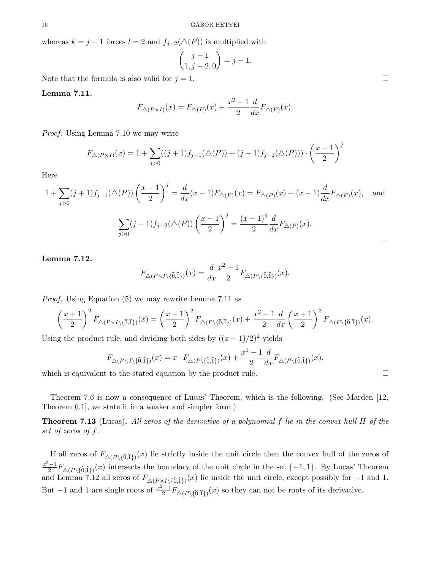whereas  $k = j - 1$  forces  $l = 2$  and  $f_{j-2}(\triangle(P))$  is multiplied with

$$
\binom{j-1}{1, j-2, 0} = j - 1.
$$

Note that the formula is also valid for  $j = 1$ .

## Lemma 7.11.

$$
F_{\triangle (P \times I)}(x) = F_{\triangle (P)}(x) + \frac{x^2 - 1}{2} \frac{d}{dx} F_{\triangle (P)}(x).
$$

Proof. Using Lemma 7.10 we may write

$$
F_{\triangle(P\times I)}(x) = 1 + \sum_{j>0} ((j+1)f_{j-1}(\triangle(P)) + (j-1)f_{j-2}(\triangle(P))) \cdot \left(\frac{x-1}{2}\right)^j
$$

Here

$$
1 + \sum_{j>0} (j+1)f_{j-1}(\triangle(P)) \left(\frac{x-1}{2}\right)^j = \frac{d}{dx}(x-1)F_{\triangle(P)}(x) = F_{\triangle(P)}(x) + (x-1)\frac{d}{dx}F_{\triangle(P)}(x), \text{ and}
$$

$$
\sum_{j>0} (j-1)f_{j-2}(\triangle(P)) \left(\frac{x-1}{2}\right)^j = \frac{(x-1)^2}{2}\frac{d}{dx}F_{\triangle(P)}(x).
$$

# Lemma 7.12.

$$
F_{\triangle (P \times I \setminus \{\widehat{0},\widehat{1}\})}(x) = \frac{d}{dx} \frac{x^2 - 1}{2} F_{\triangle (P \setminus \{\widehat{0},\widehat{1}\})}(x).
$$

*Proof.* Using Equation (5) we may rewrite Lemma 7.11 as\n
$$
\left(\frac{x+1}{2}\right)^2 F_{\triangle (P \times I \setminus \{\widehat{0},\widehat{1}\})}(x) = \left(\frac{x+1}{2}\right)^2 F_{\triangle (P \setminus \{\widehat{0},\widehat{1}\})}(x) + \frac{x^2 - 1}{2} \frac{d}{dx} \left(\frac{x+1}{2}\right)^2 F_{\triangle (P \setminus \{\widehat{0},\widehat{1}\})}(x).
$$

Using the product rule, and dividing both sides by 
$$
((x+1)/2)^2
$$
 yields  
\n
$$
F_{\triangle (P \times I \setminus \{\widehat{0}, \widehat{1}\})}(x) = x \cdot F_{\triangle (P \setminus \{\widehat{0}, \widehat{1}\})}(x) + \frac{x^2 - 1}{2} \frac{d}{dx} F_{\triangle (P \setminus \{\widehat{0}, \widehat{1}\})}(x),
$$

which is equivalent to the stated equation by the product rule.  $\Box$ 

Theorem 7.6 is now a consequence of Lucas' Theorem, which is the following. (See Marden [12, Theorem 6.1], we state it in a weaker and simpler form.)

**Theorem 7.13** (Lucas). All zeros of the derivative of a polynomial f lie in the convex hull H of the set of zeros of f.

If all zeros of  $F_{\Delta(P\setminus{\{\widehat{0},\widehat{1}\}})}(x)$  lie strictly inside the unit circle then the convex hull of the zeros of  $\frac{-1}{2}F_{\Delta(P\setminus{\{\widehat{0},\widehat{1}\}})}(x)$  intersects the boundary of the unit circle in the set  $\{-1,1\}$ . By  $x^2-1$  $\frac{(-1)^n}{2^n} F_{\Delta(P \setminus \{0,1\})}(x)$  intersects the boundary of the unit circle in the set  $\{-1,1\}$ . By Lucas' Theorem  $\frac{x^2-1}{2}F_{\Delta(P\setminus{\{\hat{0},\hat{1}\}})}(x)$  intersects the boundary of the unit circle in the set  $\{-1,1\}$ . By Lucas' Theorem and Lemma 7.12 all zeros of  $F_{\Delta(P\times I\setminus{\{\hat{0},\hat{1}\}})}(x)$  lie inside the unit circle, except possibly But  $-1$  and 1 are single roots of  $\frac{x^2-1}{2}$  $\frac{(-1)}{2}F_{\Delta(P\setminus\{\widehat{0},\widehat{1}\})}(x)$  so they can not be roots of its derivative.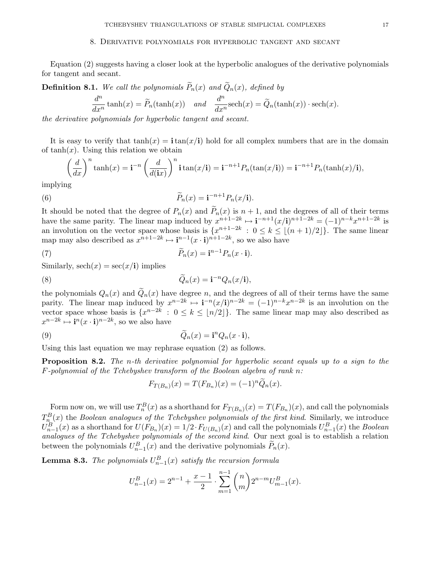#### 8. Derivative polynomials for hyperbolic tangent and secant

Equation (2) suggests having a closer look at the hyperbolic analogues of the derivative polynomials for tangent and secant.

**Definition 8.1.** We call the polynomials  $\widetilde{P}_n(x)$  and  $\widetilde{Q}_n(x)$ , defined by

$$
\frac{d^n}{dx^n}\tanh(x) = \widetilde{P}_n(\tanh(x)) \quad and \quad \frac{d^n}{dx^n}\text{sech}(x) = \widetilde{Q}_n(\tanh(x)) \cdot \text{sech}(x).
$$

the derivative polynomials for hyperbolic tangent and secant.

It is easy to verify that  $tanh(x) = \mathbf{i} tan(x/\mathbf{i})$  hold for all complex numbers that are in the domain of  $tanh(x)$ . Using this relation we obtain

$$
\left(\frac{d}{dx}\right)^n \tanh(x) = \mathbf{i}^{-n} \left(\frac{d}{d(\mathbf{i}x)}\right)^n \mathbf{i} \tan(x/\mathbf{i}) = \mathbf{i}^{-n+1} P_n(\tan(x/\mathbf{i})) = \mathbf{i}^{-n+1} P_n(\tanh(x)/\mathbf{i}),
$$

implying

(6) 
$$
\widetilde{P}_n(x) = \mathbf{i}^{-n+1} P_n(x/\mathbf{i}).
$$

It should be noted that the degree of  $P_n(x)$  and  $P_n(x)$  is  $n + 1$ , and the degrees of all of their terms have the same parity. The linear map induced by  $x^{n+1-2k} \mapsto i^{-n+1}(x/i)^{n+1-2k} = (-1)^{n-k} x^{n+1-2k}$  is an involution on the vector space whose basis is  $\{x^{n+1-2k} : 0 \le k \le |(n+1)/2|\}$ . The same linear map may also described as  $x^{n+1-2k} \mapsto i^{n-1}(x \cdot i)^{n+1-2k}$ , so we also have

(7) 
$$
\widetilde{P}_n(x) = \mathbf{i}^{n-1} P_n(x \cdot \mathbf{i}).
$$

Similarly,  $\operatorname{sech}(x) = \operatorname{sec}(x/\mathbf{i})$  implies

(8) 
$$
\widetilde{Q}_n(x) = \mathbf{i}^{-n} Q_n(x/\mathbf{i}),
$$

the polynomials  $Q_n(x)$  and  $\tilde{Q}_n(x)$  have degree n, and the degrees of all of their terms have the same parity. The linear map induced by  $x^{n-2k} \mapsto i^{-n}(x/i)^{n-2k} = (-1)^{n-k} x^{n-2k}$  is an involution on the vector space whose basis is  $\{x^{n-2k} : 0 \le k \le |n/2|\}$ . The same linear map may also described as  $x^{n-2k} \mapsto i^n (x \cdot i)^{n-2k}$ , so we also have

(9) 
$$
\widetilde{Q}_n(x) = \mathbf{i}^n Q_n(x \cdot \mathbf{i}),
$$

Using this last equation we may rephrase equation (2) as follows.

Proposition 8.2. The n-th derivative polynomial for hyperbolic secant equals up to a sign to the  $F$ -polynomial of the Tchebyshev transform of the Boolean algebra of rank n:

$$
F_{T(B_n)}(x) = T(F_{B_n})(x) = (-1)^n \widetilde{Q}_n(x).
$$

Form now on, we will use  $T_n^B(x)$  as a shorthand for  $F_{T(B_n)}(x) = T(F_{B_n})(x)$ , and call the polynomials  $T_{n}^{B}(x)$  the Boolean analogues of the Tchebyshev polynomials of the first kind. Similarly, we introduce  $U_{n-1}^B(x)$  as a shorthand for  $U(F_{B_n})(x) = 1/2 \cdot F_{U(B_n)}(x)$  and call the polynomials  $U_{n-1}^B(x)$  the *Boolean* analogues of the Tchebyshev polynomials of the second kind. Our next goal is to establish a relation between the polynomials  $U_{n-1}^B(x)$  and the derivative polynomials  $\widetilde{P}_n(x)$ .

**Lemma 8.3.** The polynomials  $U_{n-1}^B(x)$  satisfy the recursion formula

$$
U_{n-1}^{B}(x) = 2^{n-1} + \frac{x-1}{2} \cdot \sum_{m=1}^{n-1} {n \choose m} 2^{n-m} U_{m-1}^{B}(x).
$$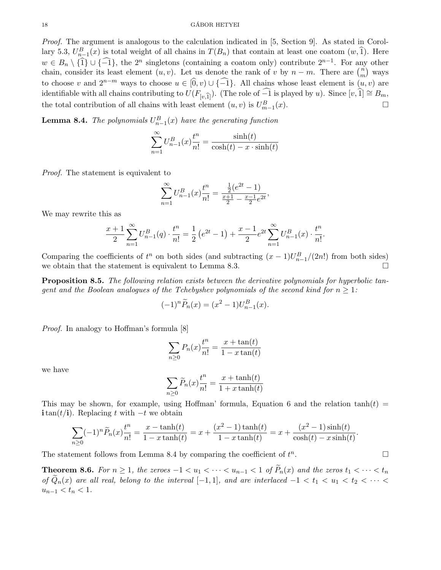#### 18 GÁBOR HETYEI

Proof. The argument is analogous to the calculation indicated in [5, Section 9]. As stated in Corollary 5.3,  $U_{n-1}^B(x)$  is total weight of all chains in  $T(B_n)$  that contain at least one coatom  $(w, \hat{1})$ . Here  $w \in B_n \setminus \{\hat{1}\} \cup \{\hat{-1}\}\$ , the 2<sup>n</sup> singletons (containing a coatom only) contribute  $2^{n-1}$ . For any other chain, consider its least element  $(u, v)$ . Let us denote the rank of v by  $n - m$ . There are  $\binom{n}{m}$  $\binom{n}{m}$  ways to choose v and  $2^{n-m}$  ways to choose  $u \in [0, v) \cup \{-1\}$ . All chains whose least element is  $(u, v)$  are identifiable with all chains contributing to  $U(F_{[v,\hat{1}]})$ . (The role of  $-\hat{1}$  is played by u). Since  $[v,\hat{1}] \cong B_m$ , the total contribution of all chains with least element  $(u,v)$  is  $U_{-1}^B(x)$ . the total contribution of all chains with least element  $(u, v)$  is  $U_{m-1}^B(x)$ .

**Lemma 8.4.** The polynomials  $U_{n-1}^B(x)$  have the generating function

$$
\sum_{n=1}^{\infty} U_{n-1}^{B}(x) \frac{t^n}{n!} = \frac{\sinh(t)}{\cosh(t) - x \cdot \sinh(t)}
$$

Proof. The statement is equivalent to

$$
\sum_{n=1}^{\infty} U_{n-1}^{B}(x) \frac{t^n}{n!} = \frac{\frac{1}{2}(e^{2t} - 1)}{\frac{x+1}{2} - \frac{x-1}{2}e^{2t}},
$$

We may rewrite this as

$$
\frac{x+1}{2} \sum_{n=1}^{\infty} U_{n-1}^{B}(q) \cdot \frac{t^n}{n!} = \frac{1}{2} \left( e^{2t} - 1 \right) + \frac{x-1}{2} e^{2t} \sum_{n=1}^{\infty} U_{n-1}^{B}(x) \cdot \frac{t^n}{n!}
$$

.

Comparing the coefficients of  $t^n$  on both sides (and subtracting  $(x-1)U_{n-1}^B/(2n!)$  from both sides) we obtain that the statement is equivalent to Lemma 8.3.

Proposition 8.5. The following relation exists between the derivative polynomials for hyperbolic tangent and the Boolean analogues of the Tchebyshev polynomials of the second kind for  $n \geq 1$ :

$$
(-1)^n \widetilde{P}_n(x) = (x^2 - 1)U_{n-1}^B(x).
$$

Proof. In analogy to Hoffman's formula [8]

$$
\sum_{n\geq 0} P_n(x) \frac{t^n}{n!} = \frac{x + \tan(t)}{1 - x \tan(t)}
$$

we have

$$
\sum_{n\geq 0} \widetilde{P}_n(x) \frac{t^n}{n!} = \frac{x + \tanh(t)}{1 + x \tanh(t)}
$$

This may be shown, for example, using Hoffman' formula, Equation 6 and the relation  $tanh(t)$  =  $\textbf{i} \tan(t/\textbf{i})$ . Replacing t with  $-t$  we obtain

$$
\sum_{n\geq 0} (-1)^n \widetilde{P}_n(x) \frac{t^n}{n!} = \frac{x - \tanh(t)}{1 - x \tanh(t)} = x + \frac{(x^2 - 1)\tanh(t)}{1 - x \tanh(t)} = x + \frac{(x^2 - 1)\sinh(t)}{\cosh(t) - x \sinh(t)}.
$$

The statement follows from Lemma 8.4 by comparing the coefficient of  $t^n$ . — Процессиональные просто производствовались и продата в собстановки с производствовались и производствовали<br>В собстановки собстановки собстановки собстановки собстановки собстановки собстановки собстановки собстановки

**Theorem 8.6.** For  $n \geq 1$ , the zeroes  $-1 < u_1 < \cdots < u_{n-1} < 1$  of  $\widetilde{P}_n(x)$  and the zeros  $t_1 < \cdots < t_n$ of  $\widetilde{Q}_n(x)$  are all real, belong to the interval  $[-1,1]$ , and are interlaced  $-1 < t_1 < u_1 < t_2 < \cdots$  $u_{n-1} < t_n < 1$ .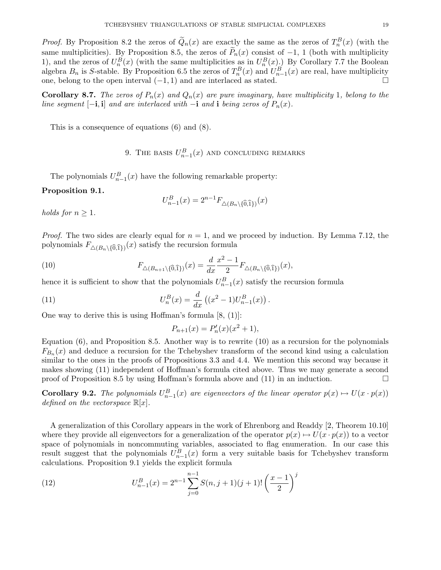*Proof.* By Proposition 8.2 the zeros of  $\widetilde{Q}_n(x)$  are exactly the same as the zeros of  $T_n^B(x)$  (with the same multiplicities). By Proposition 8.5, the zeros of  $\tilde{P}_n(x)$  consist of  $-1$ , 1 (both with multiplicity 1), and the zeros of  $U_n^B(x)$  (with the same multiplicities as in  $U_n^B(x)$ .) By Corollary 7.7 the Boolean algebra  $B_n$  is S-stable. By Proposition 6.5 the zeros of  $T_n^B(x)$  and  $U_{n-1}^B(x)$  are real, have multiplicity one, belong to the open interval  $(-1, 1)$  and are interlaced as stated. □

**Corollary 8.7.** The zeros of  $P_n(x)$  and  $Q_n(x)$  are pure imaginary, have multiplicity 1, belong to the line segment  $[-i, i]$  and are interlaced with  $-i$  and i being zeros of  $P_n(x)$ .

This is a consequence of equations (6) and (8).

# 9. The basis  $U_{n-1}^B(x)$  and concluding remarks

The polynomials  $U_{n-1}^B(x)$  have the following remarkable property:

## Proposition 9.1.

$$
U_{n-1}^{B}(x) = 2^{n-1} F_{\Delta(B_n \setminus \{\widehat{0},\widehat{1}\})}(x)
$$

holds for  $n \geq 1$ .

*Proof.* The two sides are clearly equal for  $n = 1$ , and we proceed by induction. By Lemma 7.12, the *Proof.* The two sides are clearly equal for  $n = 1$ , and we polynomials  $F_{\Delta(B_n \setminus \{\hat{0},\hat{1}\})}(x)$  satisfy the recursion formula (10)  $F_{\Delta(B_{n+1} \setminus \{\hat{0},\hat{1}\})}(x) = \frac{d}{dx} \frac{x^2 - 1}{2}$ 

(10) 
$$
F_{\triangle(B_n\setminus\{0,1\})}(x) \text{ satisfy the recursion formula}
$$

$$
F_{\triangle(B_{n+1}\setminus\{\widehat{0},\widehat{1}\})}(x) = \frac{d}{dx}\frac{x^2 - 1}{2}F_{\triangle(B_n\setminus\{\widehat{0},\widehat{1}\})}(x),
$$

hence it is sufficient to show that the polynomials  $U_{n-1}^B(x)$  satisfy the recursion formula

(11) 
$$
U_n^B(x) = \frac{d}{dx} ((x^2 - 1)U_{n-1}^B(x)).
$$

One way to derive this is using Hoffman's formula  $[8, (1)]$ :

$$
P_{n+1}(x) = P'_n(x)(x^2 + 1),
$$

Equation (6), and Proposition 8.5. Another way is to rewrite (10) as a recursion for the polynomials  $F_{B_n}(x)$  and deduce a recursion for the Tchebyshev transform of the second kind using a calculation similar to the ones in the proofs of Propositions 3.3 and 4.4. We mention this second way because it makes showing (11) independent of Hoffman's formula cited above. Thus we may generate a second proof of Proposition 8.5 by using Hoffman's formula above and  $(11)$  in an induction.

**Corollary 9.2.** The polynomials  $U_{n-1}^B(x)$  are eigenvectors of the linear operator  $p(x) \mapsto U(x \cdot p(x))$ defined on the vectorspace  $\mathbb{R}[x]$ .

A generalization of this Corollary appears in the work of Ehrenborg and Readdy [2, Theorem 10.10] where they provide all eigenvectors for a generalization of the operator  $p(x) \mapsto U(x \cdot p(x))$  to a vector space of polynomials in noncommuting variables, associated to flag enumeration. In our case this result suggest that the polynomials  $U_{n-1}^B(x)$  form a very suitable basis for Tchebyshev transform calculations. Proposition 9.1 yields the explicit formula

(12) 
$$
U_{n-1}^{B}(x) = 2^{n-1} \sum_{j=0}^{n-1} S(n, j+1)(j+1)! \left(\frac{x-1}{2}\right)^j
$$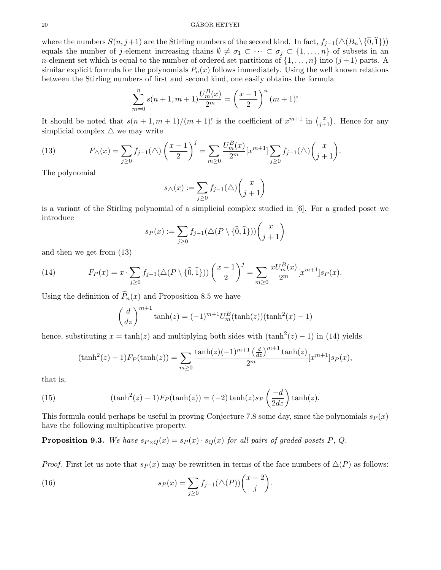#### $20$  GÁBOR HETYEI

where the numbers  $S(n, j+1)$  are the Stirling numbers of the second kind. In fact,  $f_{j-1}(\triangle(B_n\setminus\{\widehat{0},\widehat{1}\}))$ equals the number of j-element increasing chains  $\emptyset \neq \sigma_1 \subset \cdots \subset \sigma_j \subset \{1,\ldots,n\}$  of subsets in an *n*-element set which is equal to the number of ordered set partitions of  $\{1, \ldots, n\}$  into  $(j+1)$  parts. A similar explicit formula for the polynomials  $P_n(x)$  follows immediately. Using the well known relations between the Stirling numbers of first and second kind, one easily obtains the formula

$$
\sum_{m=0}^{n} s(n+1, m+1) \frac{U_m^B(x)}{2^m} = \left(\frac{x-1}{2}\right)^n (m+1)!
$$

It should be noted that  $s(n+1,m+1)/(m+1)!$  is the coefficient of  $x^{m+1}$  in  $\binom{x}{j+1}$ . Hence for any simplicial complex  $\triangle$  we may write

(13) 
$$
F_{\triangle}(x) = \sum_{j\geq 0} f_{j-1}(\triangle) \left(\frac{x-1}{2}\right)^j = \sum_{m\geq 0} \frac{U_m^B(x)}{2^m} [x^{m+1}] \sum_{j\geq 0} f_{j-1}(\triangle) \binom{x}{j+1}.
$$

The polynomial

$$
s_{\triangle}(x) := \sum_{j\geq 0} f_{j-1}(\triangle) \binom{x}{j+1}
$$

is a variant of the Stirling polynomial of a simplicial complex studied in [6]. For a graded poset we introduce

$$
s_P(x) := \sum_{j\geq 0} f_{j-1}(\triangle (P \setminus \{\widehat{0}, \widehat{1}\})) \binom{x}{j+1}
$$

and then we get from (13)

(14) 
$$
F_P(x) = x \cdot \sum_{j \ge 0} f_{j-1}(\triangle (P \setminus \{\widehat{0}, \widehat{1}\})) \left(\frac{x-1}{2}\right)^j = \sum_{m \ge 0} \frac{xU_m^B(x)}{2^m} [x^{m+1}] s_P(x).
$$

Using the definition of  $\widetilde{P}_n(x)$  and Proposition 8.5 we have

$$
\left(\frac{d}{dz}\right)^{m+1}\tanh(z) = (-1)^{m+1}U_m^B(\tanh(z))(\tanh^2(x) - 1)
$$

hence, substituting  $x = \tanh(z)$  and multiplying both sides with  $(\tanh^2(z) - 1)$  in (14) yields

$$
(\tanh^2(z) - 1)F_P(\tanh(z)) = \sum_{m \ge 0} \frac{\tanh(z)(-1)^{m+1} \left(\frac{d}{dz}\right)^{m+1} \tanh(z)}{2^m} [x^{m+1}]s_P(x),
$$

that is,

(15) 
$$
(\tanh^2(z) - 1)F_P(\tanh(z)) = (-2)\tanh(z)s_P\left(\frac{-d}{2dz}\right)\tanh(z).
$$

This formula could perhaps be useful in proving Conjecture 7.8 some day, since the polynomials  $s_P(x)$ have the following multiplicative property.

**Proposition 9.3.** We have  $s_{P \times Q}(x) = s_P(x) \cdot s_Q(x)$  for all pairs of graded posets P, Q.

*Proof.* First let us note that  $s_P(x)$  may be rewritten in terms of the face numbers of  $\Delta(P)$  as follows:

(16) 
$$
s_P(x) = \sum_{j \ge 0} f_{j-1}(\triangle(P)) \binom{x-2}{j}.
$$